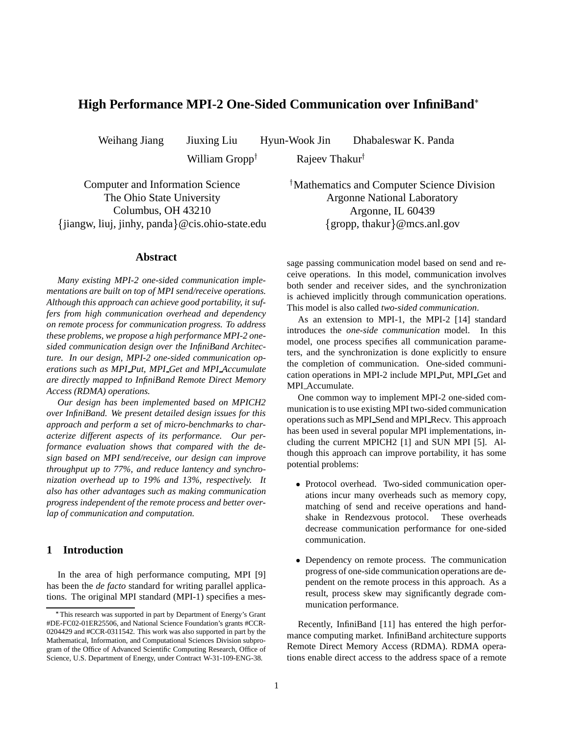# **High Performance MPI-2 One-Sided Communication over InfiniBand**

William Gropp<sup>†</sup>

Weihang Jiang Jiuxing Liu Hyun-Wook Jin Dhabaleswar K. Panda

Rajeev Thakur

Computer and Information Science The Ohio State University Columbus, OH 43210 - jiangw, liuj, jinhy, panda @cis.ohio-state.edu

## **Abstract**

*Many existing MPI-2 one-sided communication implementations are built on top of MPI send/receive operations. Although this approach can achieve good portability, it suffers from high communication overhead and dependency on remote process for communication progress. To address these problems, we propose a high performance MPI-2 onesided communication design over the InfiniBand Architecture. In our design, MPI-2 one-sided communication operations such as MPI Put, MPI Get and MPI Accumulate are directly mapped to InfiniBand Remote Direct Memory Access (RDMA) operations.*

*Our design has been implemented based on MPICH2 over InfiniBand. We present detailed design issues for this approach and perform a set of micro-benchmarks to characterize different aspects of its performance. Our performance evaluation shows that compared with the design based on MPI send/receive, our design can improve throughput up to 77%, and reduce lantency and synchronization overhead up to 19% and 13%, respectively. It also has other advantages such as making communication progress independent of the remote process and better overlap of communication and computation.*

# **1 Introduction**

In the area of high performance computing, MPI [9] has been the *de facto* standard for writing parallel applications. The original MPI standard (MPI-1) specifies a mes Mathematics and Computer Science Division Argonne National Laboratory Argonne, IL 60439 {gropp, thakur}@mcs.anl.gov

sage passing communication model based on send and receive operations. In this model, communication involves both sender and receiver sides, and the synchronization is achieved implicitly through communication operations. This model is also called *two-sided communication*.

As an extension to MPI-1, the MPI-2 [14] standard introduces the *one-side communication* model. In this model, one process specifies all communication parameters, and the synchronization is done explicitly to ensure the completion of communication. One-sided communication operations in MPI-2 include MPI Put, MPI Get and MPI Accumulate.

One common way to implement MPI-2 one-sided communication is to use existing MPI two-sided communication operationssuch as MPI Send and MPI Recv. This approach has been used in several popular MPI implementations, including the current MPICH2 [1] and SUN MPI [5]. Although this approach can improve portability, it has some potential problems:

- Protocol overhead. Two-sided communication operations incur many overheads such as memory copy, matching of send and receive operations and handshake in Rendezvous protocol. These overheads decrease communication performance for one-sided communication.
- Dependency on remote process. The communication progress of one-side communication operations are dependent on the remote process in this approach. As a result, process skew may significantly degrade communication performance.

Recently, InfiniBand [11] has entered the high performance computing market. InfiniBand architecture supports Remote Direct Memory Access (RDMA). RDMA operations enable direct access to the address space of a remote

This research was supported in part by Department of Energy's Grant #DE-FC02-01ER25506, and National Science Foundation's grants #CCR-0204429 and #CCR-0311542. This work was also supported in part by the Mathematical, Information, and Computational Sciences Division subprogram of the Office of Advanced Scientific Computing Research, Office of Science, U.S. Department of Energy, under Contract W-31-109-ENG-38.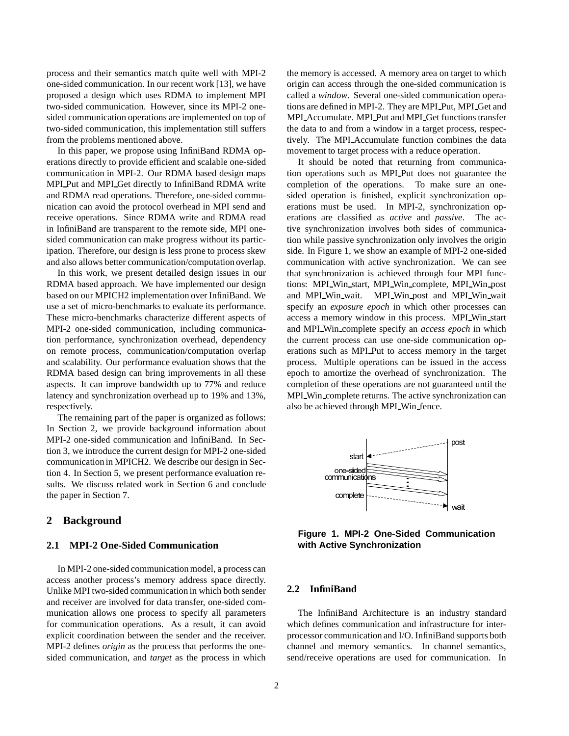process and their semantics match quite well with MPI-2 one-sided communication. In our recent work [13], we have proposed a design which uses RDMA to implement MPI two-sided communication. However, since its MPI-2 onesided communication operations are implemented on top of two-sided communication, this implementation still suffers from the problems mentioned above.

In this paper, we propose using InfiniBand RDMA operations directly to provide efficient and scalable one-sided communication in MPI-2. Our RDMA based design maps MPI Put and MPI Get directly to InfiniBand RDMA write and RDMA read operations. Therefore, one-sided communication can avoid the protocol overhead in MPI send and receive operations. Since RDMA write and RDMA read in InfiniBand are transparent to the remote side, MPI onesided communication can make progress without its participation. Therefore, our design is less prone to process skew and also allows better communication/computation overlap.

In this work, we present detailed design issues in our RDMA based approach. We have implemented our design based on our MPICH2 implementation over InfiniBand. We use a set of micro-benchmarks to evaluate its performance. These micro-benchmarks characterize different aspects of MPI-2 one-sided communication, including communication performance, synchronization overhead, dependency on remote process, communication/computation overlap and scalability. Our performance evaluation shows that the RDMA based design can bring improvements in all these aspects. It can improve bandwidth up to 77% and reduce latency and synchronization overhead up to 19% and 13%, respectively.

The remaining part of the paper is organized as follows: In Section 2, we provide background information about MPI-2 one-sided communication and InfiniBand. In Section 3, we introduce the current design for MPI-2 one-sided communication in MPICH2. We describe our design in Section 4. In Section 5, we present performance evaluation results. We discuss related work in Section 6 and conclude the paper in Section 7.

## **2 Background**

### **2.1 MPI-2 One-Sided Communication**

In MPI-2 one-sided communication model, a process can access another process's memory address space directly. Unlike MPI two-sided communication in which both sender and receiver are involved for data transfer, one-sided communication allows one process to specify all parameters for communication operations. As a result, it can avoid explicit coordination between the sender and the receiver. MPI-2 defines *origin* as the process that performs the onesided communication, and *target* as the process in which the memory is accessed. A memory area on target to which origin can access through the one-sided communication is called a *window*. Several one-sided communication operations are defined in MPI-2. They are MPI Put, MPI Get and MPI Accumulate. MPI Put and MPI Get functions transfer the data to and from a window in a target process, respectively. The MPI Accumulate function combines the data movement to target process with a reduce operation.

It should be noted that returning from communication operations such as MPI Put does not guarantee the completion of the operations. To make sure an onesided operation is finished, explicit synchronization operations must be used. In MPI-2, synchronization operations are classified as *active* and *passive*. The active synchronization involves both sides of communication while passive synchronization only involves the origin side. In Figure 1, we show an example of MPI-2 one-sided communication with active synchronization. We can see that synchronization is achieved through four MPI functions: MPI Win start, MPI Win complete, MPI Win post and MPI Win wait. MPI Win post and MPI Win wait specify an *exposure epoch* in which other processes can access a memory window in this process. MPI Win start and MPI Win complete specify an *access epoch* in which the current process can use one-side communication operations such as MPI Put to access memory in the target process. Multiple operations can be issued in the access epoch to amortize the overhead of synchronization. The completion of these operations are not guaranteed until the MPI Win complete returns. The active synchronization can also be achieved through MPI Win fence.



**Figure 1. MPI-2 One-Sided Communication with Active Synchronization**

## **2.2 InfiniBand**

The InfiniBand Architecture is an industry standard which defines communication and infrastructure for interprocessor communication and I/O. InfiniBand supports both channel and memory semantics. In channel semantics, send/receive operations are used for communication. In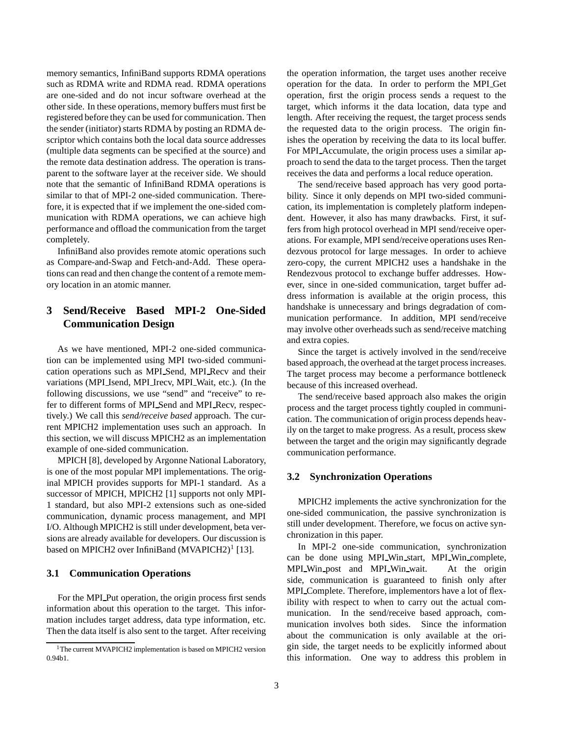memory semantics, InfiniBand supports RDMA operations such as RDMA write and RDMA read. RDMA operations are one-sided and do not incur software overhead at the other side. In these operations, memory buffers must first be registered before they can be used for communication. Then the sender (initiator) starts RDMA by posting an RDMA descriptor which contains both the local data source addresses (multiple data segments can be specified at the source) and the remote data destination address. The operation is transparent to the software layer at the receiver side. We should note that the semantic of InfiniBand RDMA operations is similar to that of MPI-2 one-sided communication. Therefore, it is expected that if we implement the one-sided communication with RDMA operations, we can achieve high performance and offload the communication from the target completely.

InfiniBand also provides remote atomic operations such as Compare-and-Swap and Fetch-and-Add. These operations can read and then change the content of a remote memory location in an atomic manner.

# **3 Send/Receive Based MPI-2 One-Sided Communication Design**

As we have mentioned, MPI-2 one-sided communication can be implemented using MPI two-sided communication operations such as MPI Send, MPI Recv and their variations (MPI Isend, MPI Irecv, MPI Wait, etc.). (In the following discussions, we use "send" and "receive" to refer to different forms of MPI Send and MPI Recv, respectively.) We call this *send/receive based* approach. The current MPICH2 implementation uses such an approach. In this section, we will discuss MPICH2 as an implementation example of one-sided communication.

MPICH [8], developed by Argonne National Laboratory, is one of the most popular MPI implementations. The original MPICH provides supports for MPI-1 standard. As a successor of MPICH, MPICH2 [1] supports not only MPI-1 standard, but also MPI-2 extensions such as one-sided communication, dynamic process management, and MPI I/O. Although MPICH2 is still under development, beta versions are already available for developers. Our discussion is based on MPICH2 over InfiniBand (MVAPICH2)<sup>1</sup> [13].

### **3.1 Communication Operations**

For the MPI Put operation, the origin process first sends information about this operation to the target. This information includes target address, data type information, etc. Then the data itself is also sent to the target. After receiving the operation information, the target uses another receive operation for the data. In order to perform the MPI Get operation, first the origin process sends a request to the target, which informs it the data location, data type and length. After receiving the request, the target process sends the requested data to the origin process. The origin finishes the operation by receiving the data to its local buffer. For MPI Accumulate, the origin process uses a similar approach to send the data to the target process. Then the target receives the data and performs a local reduce operation.

The send/receive based approach has very good portability. Since it only depends on MPI two-sided communication, its implementation is completely platform independent. However, it also has many drawbacks. First, it suffers from high protocol overhead in MPI send/receive operations. For example, MPI send/receive operations uses Rendezvous protocol for large messages. In order to achieve zero-copy, the current MPICH2 uses a handshake in the Rendezvous protocol to exchange buffer addresses. However, since in one-sided communication, target buffer address information is available at the origin process, this handshake is unnecessary and brings degradation of communication performance. In addition, MPI send/receive may involve other overheads such as send/receive matching and extra copies.

Since the target is actively involved in the send/receive based approach, the overhead at the target processincreases. The target process may become a performance bottleneck because of this increased overhead.

The send/receive based approach also makes the origin process and the target process tightly coupled in communication. The communication of origin process depends heavily on the target to make progress. As a result, process skew between the target and the origin may significantly degrade communication performance.

### **3.2 Synchronization Operations**

MPICH2 implements the active synchronization for the one-sided communication, the passive synchronization is still under development. Therefore, we focus on active synchronization in this paper.

In MPI-2 one-side communication, synchronization can be done using MPI Win start, MPI Win complete, MPI Win post and MPI Win wait. At the origin side, communication is guaranteed to finish only after MPI Complete. Therefore, implementors have a lot of flexibility with respect to when to carry out the actual communication. In the send/receive based approach, communication involves both sides. Since the information about the communication is only available at the origin side, the target needs to be explicitly informed about this information. One way to address this problem in

<sup>&</sup>lt;sup>1</sup>The current MVAPICH2 implementation is based on MPICH2 version 0.94b1.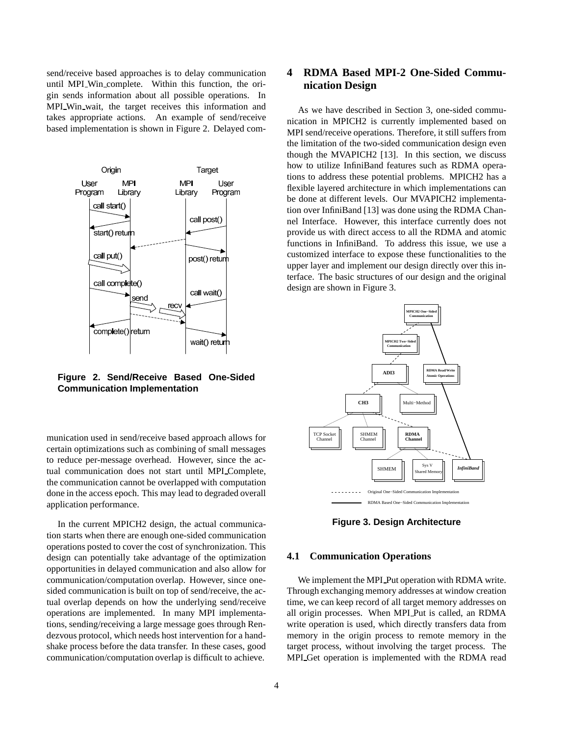send/receive based approaches is to delay communication until MPI Win complete. Within this function, the origin sends information about all possible operations. In MPI Win wait, the target receives this information and takes appropriate actions. An example of send/receive based implementation is shown in Figure 2. Delayed com-



**Figure 2. Send/Receive Based One-Sided Communication Implementation**

munication used in send/receive based approach allows for certain optimizations such as combining of small messages to reduce per-message overhead. However, since the actual communication does not start until MPI\_Complete, the communication cannot be overlapped with computation done in the access epoch. This may lead to degraded overall application performance.

In the current MPICH2 design, the actual communication starts when there are enough one-sided communication operations posted to cover the cost of synchronization. This design can potentially take advantage of the optimization opportunities in delayed communication and also allow for communication/computation overlap. However, since onesided communication is built on top of send/receive, the actual overlap depends on how the underlying send/receive operations are implemented. In many MPI implementations, sending/receiving a large message goes through Rendezvous protocol, which needs host intervention for a handshake process before the data transfer. In these cases, good communication/computation overlap is difficult to achieve.

# **4 RDMA Based MPI-2 One-Sided Communication Design**

As we have described in Section 3, one-sided communication in MPICH2 is currently implemented based on MPI send/receive operations. Therefore, it still suffers from the limitation of the two-sided communication design even though the MVAPICH2 [13]. In this section, we discuss how to utilize InfiniBand features such as RDMA operations to address these potential problems. MPICH2 has a flexible layered architecture in which implementations can be done at different levels. Our MVAPICH2 implementation over InfiniBand [13] was done using the RDMA Channel Interface. However, this interface currently does not provide us with direct access to all the RDMA and atomic functions in InfiniBand. To address this issue, we use a customized interface to expose these functionalities to the upper layer and implement our design directly over this interface. The basic structures of our design and the original design are shown in Figure 3.



**Figure 3. Design Architecture**

## **4.1 Communication Operations**

We implement the MPI Put operation with RDMA write. Through exchanging memory addresses at window creation time, we can keep record of all target memory addresses on all origin processes. When MPI Put is called, an RDMA write operation is used, which directly transfers data from memory in the origin process to remote memory in the target process, without involving the target process. The MPI Get operation is implemented with the RDMA read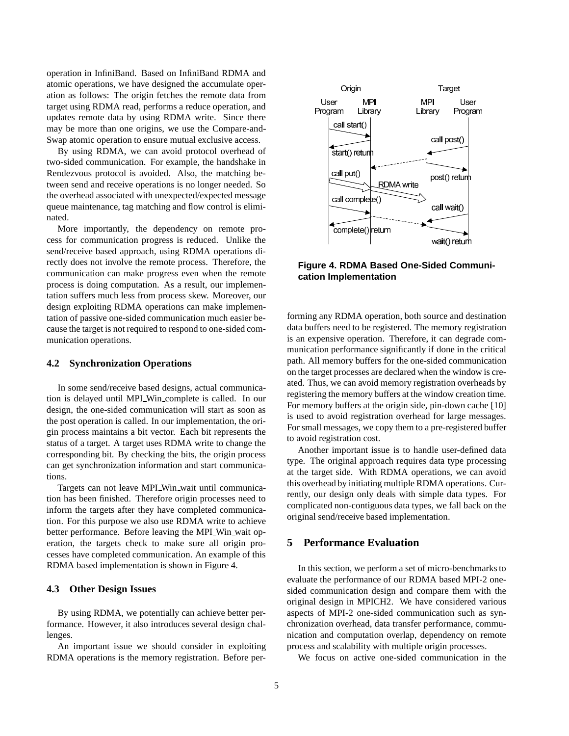operation in InfiniBand. Based on InfiniBand RDMA and atomic operations, we have designed the accumulate operation as follows: The origin fetches the remote data from target using RDMA read, performs a reduce operation, and updates remote data by using RDMA write. Since there may be more than one origins, we use the Compare-and-Swap atomic operation to ensure mutual exclusive access.

By using RDMA, we can avoid protocol overhead of two-sided communication. For example, the handshake in Rendezvous protocol is avoided. Also, the matching between send and receive operations is no longer needed. So the overhead associated with unexpected/expected message queue maintenance, tag matching and flow control is eliminated.

More importantly, the dependency on remote process for communication progress is reduced. Unlike the send/receive based approach, using RDMA operations directly does not involve the remote process. Therefore, the communication can make progress even when the remote process is doing computation. As a result, our implementation suffers much less from process skew. Moreover, our design exploiting RDMA operations can make implementation of passive one-sided communication much easier because the target is not required to respond to one-sided communication operations.

## **4.2 Synchronization Operations**

In some send/receive based designs, actual communication is delayed until MPI Win complete is called. In our design, the one-sided communication will start as soon as the post operation is called. In our implementation, the origin process maintains a bit vector. Each bit represents the status of a target. A target uses RDMA write to change the corresponding bit. By checking the bits, the origin process can get synchronization information and start communications.

Targets can not leave MPI Win wait until communication has been finished. Therefore origin processes need to inform the targets after they have completed communication. For this purpose we also use RDMA write to achieve better performance. Before leaving the MPI Win wait operation, the targets check to make sure all origin processes have completed communication. An example of this RDMA based implementation is shown in Figure 4.

# **4.3 Other Design Issues**

By using RDMA, we potentially can achieve better performance. However, it also introduces several design challenges.

An important issue we should consider in exploiting RDMA operations is the memory registration. Before per-



**Figure 4. RDMA Based One-Sided Communication Implementation**

forming any RDMA operation, both source and destination data buffers need to be registered. The memory registration is an expensive operation. Therefore, it can degrade communication performance significantly if done in the critical path. All memory buffers for the one-sided communication on the target processes are declared when the window is created. Thus, we can avoid memory registration overheads by registering the memory buffers at the window creation time. For memory buffers at the origin side, pin-down cache [10] is used to avoid registration overhead for large messages. For small messages, we copy them to a pre-registered buffer to avoid registration cost.

Another important issue is to handle user-defined data type. The original approach requires data type processing at the target side. With RDMA operations, we can avoid this overhead by initiating multiple RDMA operations. Currently, our design only deals with simple data types. For complicated non-contiguous data types, we fall back on the original send/receive based implementation.

# **5 Performance Evaluation**

In this section, we perform a set of micro-benchmarks to evaluate the performance of our RDMA based MPI-2 onesided communication design and compare them with the original design in MPICH2. We have considered various aspects of MPI-2 one-sided communication such as synchronization overhead, data transfer performance, communication and computation overlap, dependency on remote process and scalability with multiple origin processes.

We focus on active one-sided communication in the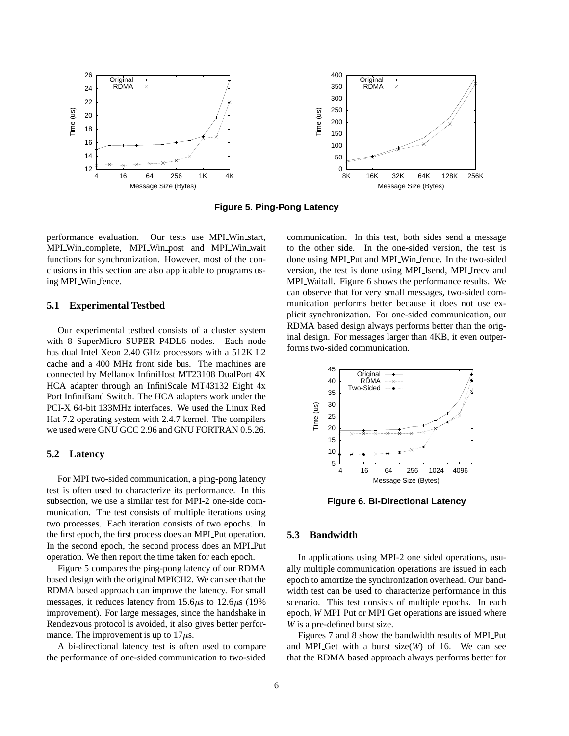

**Figure 5. Ping-Pong Latency**

performance evaluation. Our tests use MPI Win start, MPI Win complete, MPI Win post and MPI Win wait functions for synchronization. However, most of the conclusions in this section are also applicable to programs using MPI Win fence.

### **5.1 Experimental Testbed**

Our experimental testbed consists of a cluster system with 8 SuperMicro SUPER P4DL6 nodes. Each node has dual Intel Xeon 2.40 GHz processors with a 512K L2 cache and a 400 MHz front side bus. The machines are connected by Mellanox InfiniHost MT23108 DualPort 4X HCA adapter through an InfiniScale MT43132 Eight 4x Port InfiniBand Switch. The HCA adapters work under the PCI-X 64-bit 133MHz interfaces. We used the Linux Red Hat 7.2 operating system with 2.4.7 kernel. The compilers we used were GNU GCC 2.96 and GNU FORTRAN 0.5.26.

## **5.2 Latency**

For MPI two-sided communication, a ping-pong latency test is often used to characterize its performance. In this subsection, we use a similar test for MPI-2 one-side communication. The test consists of multiple iterations using two processes. Each iteration consists of two epochs. In the first epoch, the first process does an MPI Put operation. In the second epoch, the second process does an MPI Put operation. We then report the time taken for each epoch.

Figure 5 compares the ping-pong latency of our RDMA based design with the original MPICH2. We can see that the RDMA based approach can improve the latency. For small messages, it reduces latency from  $15.6\mu s$  to  $12.6\mu s$  (19%) improvement). For large messages, since the handshake in Rendezvous protocol is avoided, it also gives better performance. The improvement is up to  $17\mu$ s.

A bi-directional latency test is often used to compare the performance of one-sided communication to two-sided

communication. In this test, both sides send a message to the other side. In the one-sided version, the test is done using MPI Put and MPI Win fence. In the two-sided version, the test is done using MPI Isend, MPI Irecv and MPI Waitall. Figure 6 shows the performance results. We can observe that for very small messages, two-sided communication performs better because it does not use explicit synchronization. For one-sided communication, our RDMA based design always performs better than the original design. For messages larger than 4KB, it even outperforms two-sided communication.



**Figure 6. Bi-Directional Latency**

### **5.3 Bandwidth**

In applications using MPI-2 one sided operations, usually multiple communication operations are issued in each epoch to amortize the synchronization overhead. Our bandwidth test can be used to characterize performance in this scenario. This test consists of multiple epochs. In each epoch, *W* MPI Put or MPI Get operations are issued where *W* is a pre-defined burst size.

Figures 7 and 8 show the bandwidth results of MPI Put and MPI Get with a burst size(*W*) of 16. We can see that the RDMA based approach always performs better for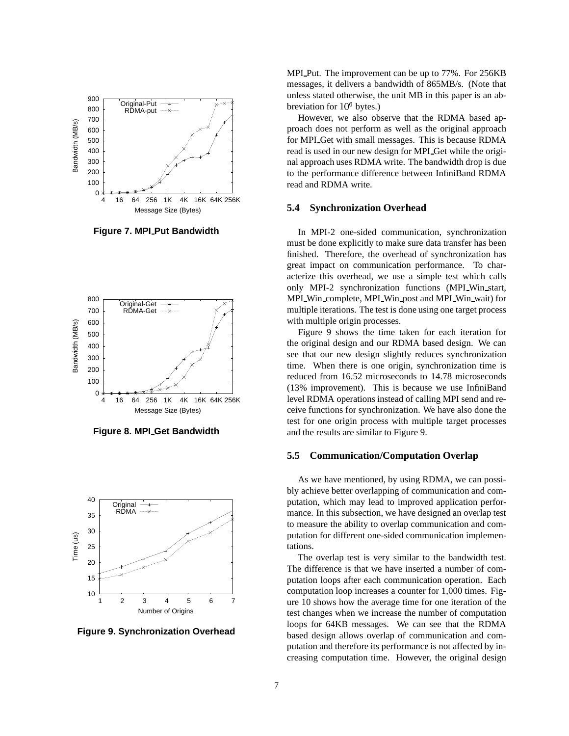

**Figure 7. MPI Put Bandwidth**



**Figure 8. MPI Get Bandwidth**



**Figure 9. Synchronization Overhead**

MPI Put. The improvement can be up to 77%. For 256KB messages, it delivers a bandwidth of 865MB/s. (Note that unless stated otherwise, the unit MB in this paper is an abbreviation for  $10^6$  bytes.)

However, we also observe that the RDMA based approach does not perform as well as the original approach for MPI Get with small messages. This is because RDMA read is used in our new design for MPI Get while the original approach uses RDMA write. The bandwidth drop is due to the performance difference between InfiniBand RDMA read and RDMA write.

### **5.4 Synchronization Overhead**

In MPI-2 one-sided communication, synchronization must be done explicitly to make sure data transfer has been finished. Therefore, the overhead of synchronization has great impact on communication performance. To characterize this overhead, we use a simple test which calls only MPI-2 synchronization functions (MPI Win start, MPI Win complete, MPI Win post and MPI Win wait) for multiple iterations. The test is done using one target process with multiple origin processes.

Figure 9 shows the time taken for each iteration for the original design and our RDMA based design. We can see that our new design slightly reduces synchronization time. When there is one origin, synchronization time is reduced from 16.52 microseconds to 14.78 microseconds (13% improvement). This is because we use InfiniBand level RDMA operations instead of calling MPI send and receive functions for synchronization. We have also done the test for one origin process with multiple target processes and the results are similar to Figure 9.

#### **5.5 Communication/Computation Overlap**

As we have mentioned, by using RDMA, we can possibly achieve better overlapping of communication and computation, which may lead to improved application performance. In this subsection, we have designed an overlap test to measure the ability to overlap communication and computation for different one-sided communication implementations.

The overlap test is very similar to the bandwidth test. The difference is that we have inserted a number of computation loops after each communication operation. Each computation loop increases a counter for 1,000 times. Figure 10 shows how the average time for one iteration of the test changes when we increase the number of computation loops for 64KB messages. We can see that the RDMA based design allows overlap of communication and computation and therefore its performance is not affected by increasing computation time. However, the original design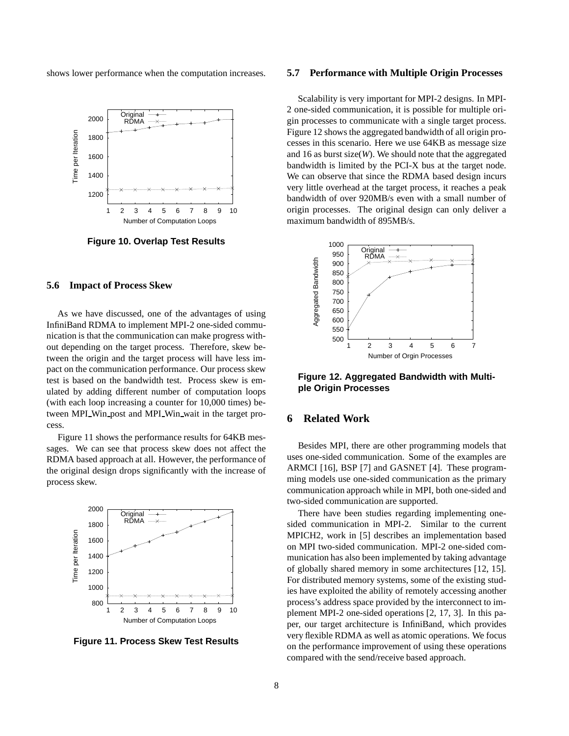shows lower performance when the computation increases.



**Figure 10. Overlap Test Results**

### **5.6 Impact of Process Skew**

As we have discussed, one of the advantages of using InfiniBand RDMA to implement MPI-2 one-sided communication is that the communication can make progress without depending on the target process. Therefore, skew between the origin and the target process will have less impact on the communication performance. Our process skew test is based on the bandwidth test. Process skew is emulated by adding different number of computation loops (with each loop increasing a counter for 10,000 times) between MPI Win post and MPI Win wait in the target process.

Figure 11 shows the performance results for 64KB messages. We can see that process skew does not affect the RDMA based approach at all. However, the performance of the original design drops significantly with the increase of process skew.



**Figure 11. Process Skew Test Results**

#### **5.7 Performance with Multiple Origin Processes**

Scalability is very important for MPI-2 designs. In MPI-2 one-sided communication, it is possible for multiple origin processes to communicate with a single target process. Figure 12 shows the aggregated bandwidth of all origin processes in this scenario. Here we use 64KB as message size and 16 as burst size(*W*). We should note that the aggregated bandwidth is limited by the PCI-X bus at the target node. We can observe that since the RDMA based design incurs very little overhead at the target process, it reaches a peak bandwidth of over 920MB/s even with a small number of origin processes. The original design can only deliver a maximum bandwidth of 895MB/s.



**Figure 12. Aggregated Bandwidth with Multiple Origin Processes**

# **6 Related Work**

Besides MPI, there are other programming models that uses one-sided communication. Some of the examples are ARMCI [16], BSP [7] and GASNET [4]. These programming models use one-sided communication as the primary communication approach while in MPI, both one-sided and two-sided communication are supported.

There have been studies regarding implementing onesided communication in MPI-2. Similar to the current MPICH2, work in [5] describes an implementation based on MPI two-sided communication. MPI-2 one-sided communication has also been implemented by taking advantage of globally shared memory in some architectures [12, 15]. For distributed memory systems, some of the existing studies have exploited the ability of remotely accessing another process's address space provided by the interconnect to implement MPI-2 one-sided operations [2, 17, 3]. In this paper, our target architecture is InfiniBand, which provides very flexible RDMA as well as atomic operations. We focus on the performance improvement of using these operations compared with the send/receive based approach.